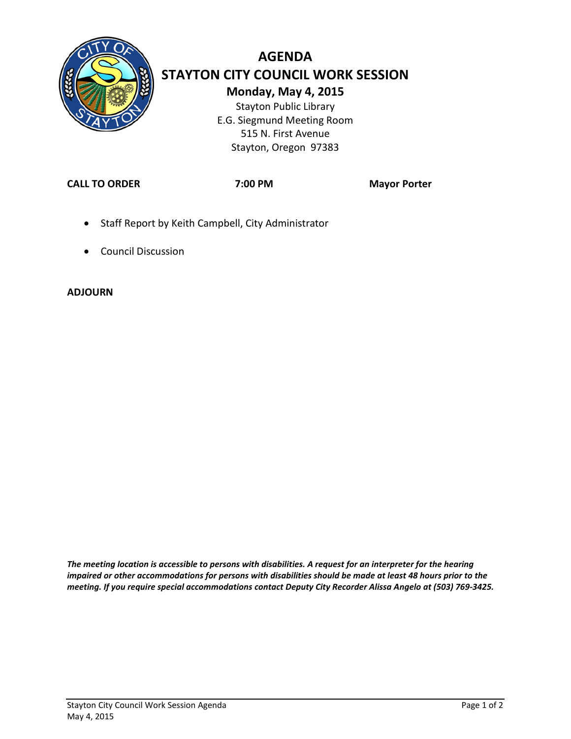

# **AGENDA STAYTON CITY COUNCIL WORK SESSION Monday, May 4, 2015** Stayton Public Library

E.G. Siegmund Meeting Room 515 N. First Avenue Stayton, Oregon 97383

**CALL TO ORDER 7:00 PM Mayor Porter**

- Staff Report by Keith Campbell, City Administrator
- Council Discussion

#### **ADJOURN**

*The meeting location is accessible to persons with disabilities. A request for an interpreter for the hearing impaired or other accommodations for persons with disabilities should be made at least 48 hours prior to the meeting. If you require special accommodations contact Deputy City Recorder Alissa Angelo at (503) 769-3425.*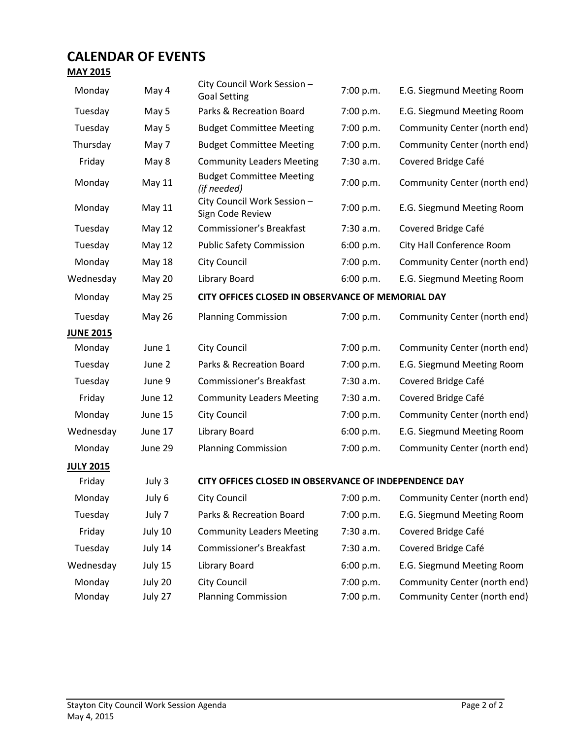### **CALENDAR OF EVENTS**

#### **MAY 2015**

| Monday           | May 4         | City Council Work Session -<br><b>Goal Setting</b>    | 7:00 p.m. | E.G. Siegmund Meeting Room             |
|------------------|---------------|-------------------------------------------------------|-----------|----------------------------------------|
| Tuesday          | May 5         | Parks & Recreation Board                              | 7:00 p.m. | E.G. Siegmund Meeting Room             |
| Tuesday          | May 5         | <b>Budget Committee Meeting</b>                       | 7:00 p.m. | Community Center (north end)           |
| Thursday         | May 7         | <b>Budget Committee Meeting</b>                       | 7:00 p.m. | Community Center (north end)           |
| Friday           | May 8         | <b>Community Leaders Meeting</b>                      | 7:30 a.m. | Covered Bridge Café                    |
| Monday           | <b>May 11</b> | <b>Budget Committee Meeting</b><br>(if needed)        | 7:00 p.m. | Community Center (north end)           |
| Monday           | May 11        | City Council Work Session -<br>Sign Code Review       | 7:00 p.m. | E.G. Siegmund Meeting Room             |
| Tuesday          | May 12        | Commissioner's Breakfast                              | 7:30 a.m. | Covered Bridge Café                    |
| Tuesday          | May 12        | <b>Public Safety Commission</b>                       | 6:00 p.m. | City Hall Conference Room              |
| Monday           | May 18        | <b>City Council</b>                                   | 7:00 p.m. | Community Center (north end)           |
| Wednesday        | <b>May 20</b> | Library Board                                         | 6:00 p.m. | E.G. Siegmund Meeting Room             |
| Monday           | May 25        | CITY OFFICES CLOSED IN OBSERVANCE OF MEMORIAL DAY     |           |                                        |
| Tuesday          | <b>May 26</b> | <b>Planning Commission</b>                            | 7:00 p.m. | Community Center (north end)           |
| <b>JUNE 2015</b> |               |                                                       |           |                                        |
| Monday           | June 1        | City Council                                          | 7:00 p.m. | Community Center (north end)           |
| Tuesday          | June 2        | Parks & Recreation Board                              | 7:00 p.m. | E.G. Siegmund Meeting Room             |
| Tuesday          | June 9        | Commissioner's Breakfast                              | 7:30 a.m. | Covered Bridge Café                    |
| Friday           | June 12       | <b>Community Leaders Meeting</b>                      | 7:30 a.m. | Covered Bridge Café                    |
| Monday           | June 15       | City Council                                          | 7:00 p.m. | Community Center (north end)           |
| Wednesday        | June 17       | Library Board                                         | 6:00 p.m. | E.G. Siegmund Meeting Room             |
| Monday           | June 29       | <b>Planning Commission</b>                            | 7:00 p.m. | Community Center (north end)           |
| <b>JULY 2015</b> |               |                                                       |           |                                        |
| Friday           | July 3        | CITY OFFICES CLOSED IN OBSERVANCE OF INDEPENDENCE DAY |           |                                        |
| Monday           | July 6        | City Council                                          |           | 7:00 p.m. Community Center (north end) |
| Tuesday          | July 7        | Parks & Recreation Board                              | 7:00 p.m. | E.G. Siegmund Meeting Room             |
| Friday           | July 10       | <b>Community Leaders Meeting</b>                      | 7:30 a.m. | Covered Bridge Café                    |
| Tuesday          | July 14       | Commissioner's Breakfast                              | 7:30 a.m. | Covered Bridge Café                    |
| Wednesday        | July 15       | Library Board                                         | 6:00 p.m. | E.G. Siegmund Meeting Room             |
| Monday           | July 20       | City Council                                          | 7:00 p.m. | Community Center (north end)           |
| Monday           | July 27       | Planning Commission                                   | 7:00 p.m. | Community Center (north end)           |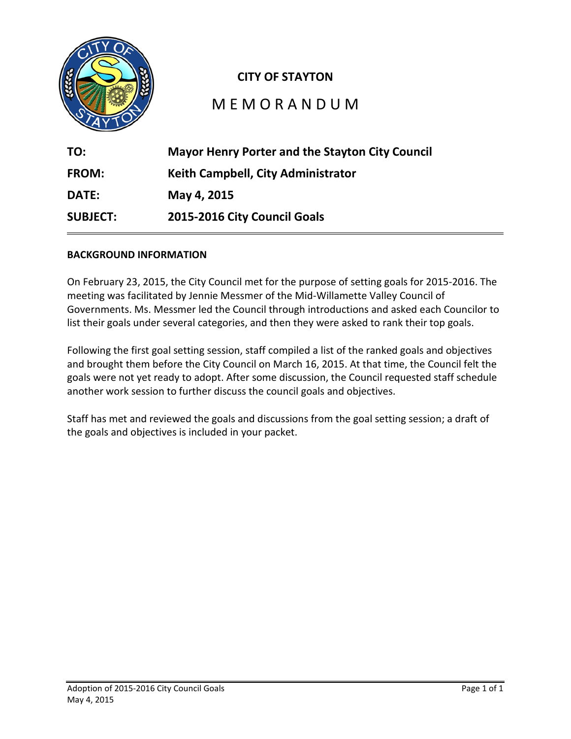

### **CITY OF STAYTON**

## M E M O R A N D U M

| TO:             | <b>Mayor Henry Porter and the Stayton City Council</b> |  |
|-----------------|--------------------------------------------------------|--|
| <b>FROM:</b>    | Keith Campbell, City Administrator                     |  |
| <b>DATE:</b>    | May 4, 2015                                            |  |
| <b>SUBJECT:</b> | 2015-2016 City Council Goals                           |  |

#### **BACKGROUND INFORMATION**

On February 23, 2015, the City Council met for the purpose of setting goals for 2015-2016. The meeting was facilitated by Jennie Messmer of the Mid-Willamette Valley Council of Governments. Ms. Messmer led the Council through introductions and asked each Councilor to list their goals under several categories, and then they were asked to rank their top goals.

Following the first goal setting session, staff compiled a list of the ranked goals and objectives and brought them before the City Council on March 16, 2015. At that time, the Council felt the goals were not yet ready to adopt. After some discussion, the Council requested staff schedule another work session to further discuss the council goals and objectives.

Staff has met and reviewed the goals and discussions from the goal setting session; a draft of the goals and objectives is included in your packet.